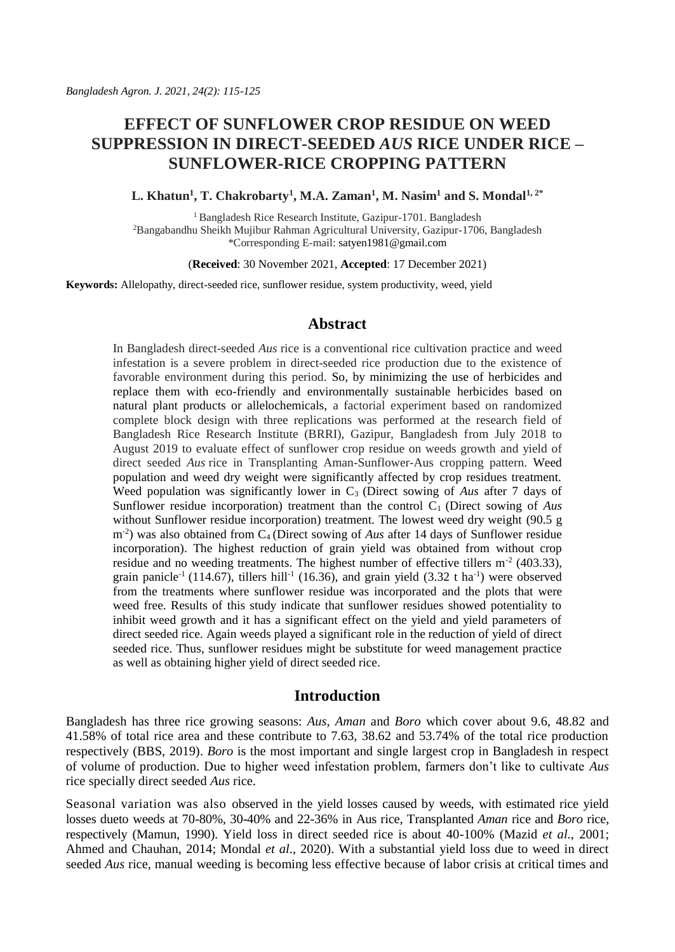# **EFFECT OF SUNFLOWER CROP RESIDUE ON WEED SUPPRESSION IN DIRECT-SEEDED** *AUS* **RICE UNDER RICE – SUNFLOWER-RICE CROPPING PATTERN**

**L. Khatun<sup>1</sup> , T. Chakrobarty<sup>1</sup> , M.A. Zaman<sup>1</sup> , M. Nasim<sup>1</sup> and S. Mondal1, 2\*** 

<sup>1</sup> Bangladesh Rice Research Institute, Gazipur-1701. Bangladesh <sup>2</sup>Bangabandhu Sheikh Mujibur Rahman Agricultural University, Gazipur-1706, Bangladesh \*Corresponding E-mail: [satyen1981@gmail.com](mailto:satyen1981@gmail.com)

(**Received**: 30 November 2021, **Accepted**: 17 December 2021)

**Keywords:** Allelopathy, direct-seeded rice, sunflower residue, system productivity, weed, yield

# **Abstract**

In Bangladesh direct-seeded *Aus* rice is a conventional rice cultivation practice and weed infestation is a severe problem in direct-seeded rice production due to the existence of favorable environment during this period. So, by minimizing the use of herbicides and replace them with eco-friendly and environmentally sustainable herbicides based on natural plant products or allelochemicals, a factorial experiment based on randomized complete block design with three replications was performed at the research field of Bangladesh Rice Research Institute (BRRI), Gazipur, Bangladesh from July 2018 to August 2019 to evaluate effect of sunflower crop residue on weeds growth and yield of direct seeded *Aus* rice in Transplanting Aman-Sunflower-Aus cropping pattern. Weed population and weed dry weight were significantly affected by crop residues treatment. Weed population was significantly lower in C<sub>3</sub> (Direct sowing of *Aus* after 7 days of Sunflower residue incorporation) treatment than the control C<sub>1</sub> (Direct sowing of *Aus* without Sunflower residue incorporation) treatment. The lowest weed dry weight (90.5 g m<sup>-2</sup>) was also obtained from C<sub>4</sub> (Direct sowing of *Aus* after 14 days of Sunflower residue incorporation). The highest reduction of grain yield was obtained from without crop residue and no weeding treatments. The highest number of effective tillers  $m<sup>-2</sup>$  (403.33), grain panicle<sup>-1</sup> (114.67), tillers hill<sup>-1</sup> (16.36), and grain yield (3.32 t ha<sup>-1</sup>) were observed from the treatments where sunflower residue was incorporated and the plots that were weed free. Results of this study indicate that sunflower residues showed potentiality to inhibit weed growth and it has a significant effect on the yield and yield parameters of direct seeded rice. Again weeds played a significant role in the reduction of yield of direct seeded rice. Thus, sunflower residues might be substitute for weed management practice as well as obtaining higher yield of direct seeded rice.

# **Introduction**

Bangladesh has three rice growing seasons: *Aus*, *Aman* and *Boro* which cover about 9.6, 48.82 and 41.58% of total rice area and these contribute to 7.63, 38.62 and 53.74% of the total rice production respectively (BBS, 2019). *Boro* is the most important and single largest crop in Bangladesh in respect of volume of production. Due to higher weed infestation problem, farmers don't like to cultivate *Aus* rice specially direct seeded *Aus* rice.

Seasonal variation was also observed in the yield losses caused by weeds, with estimated rice yield losses dueto weeds at 70-80%, 30-40% and 22-36% in Aus rice, Transplanted *Aman* rice and *Boro* rice, respectively (Mamun, 1990). Yield loss in direct seeded rice is about 40-100% (Mazid *et al*., 2001; Ahmed and Chauhan, 2014; Mondal *et al*., 2020). With a substantial yield loss due to weed in direct seeded *Aus* rice, manual weeding is becoming less effective because of labor crisis at critical times and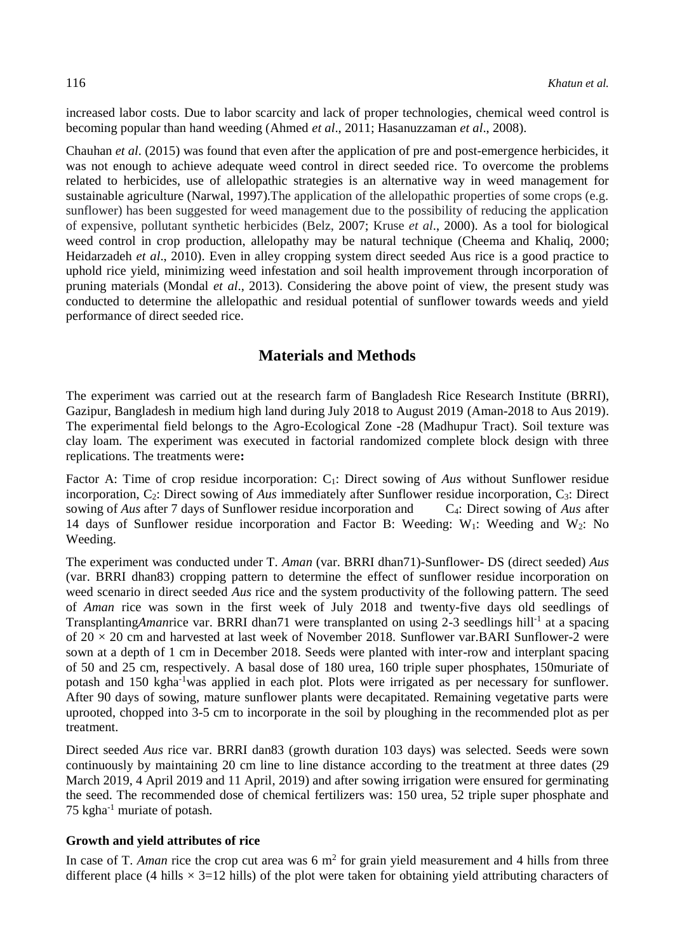increased labor costs. Due to labor scarcity and lack of proper technologies, chemical weed control is becoming popular than hand weeding (Ahmed *et al*., 2011; Hasanuzzaman *et al*., 2008).

Chauhan *et al*. (2015) was found that even after the application of pre and post-emergence herbicides, it was not enough to achieve adequate weed control in direct seeded rice. To overcome the problems related to herbicides, use of allelopathic strategies is an alternative way in weed management for sustainable agriculture (Narwal, 1997).The application of the allelopathic properties of some crops (e.g. sunflower) has been suggested for weed management due to the possibility of reducing the application of expensive, pollutant synthetic herbicides (Belz, 2007; Kruse *et al*., 2000). As a tool for biological weed control in crop production, allelopathy may be natural technique (Cheema and Khaliq, 2000; Heidarzadeh *et al*., 2010). Even in alley cropping system direct seeded Aus rice is a good practice to uphold rice yield, minimizing weed infestation and soil health improvement through incorporation of pruning materials (Mondal *et al*., 2013). Considering the above point of view, the present study was conducted to determine the allelopathic and residual potential of sunflower towards weeds and yield performance of direct seeded rice.

# **Materials and Methods**

The experiment was carried out at the research farm of Bangladesh Rice Research Institute (BRRI), Gazipur, Bangladesh in medium high land during July 2018 to August 2019 (Aman-2018 to Aus 2019). The experimental field belongs to the Agro-Ecological Zone -28 (Madhupur Tract). Soil texture was clay loam. The experiment was executed in factorial randomized complete block design with three replications. The treatments were**:**

Factor A: Time of crop residue incorporation: C1: Direct sowing of *Aus* without Sunflower residue incorporation, C2: Direct sowing of *Aus* immediately after Sunflower residue incorporation, C3: Direct sowing of *Aus* after 7 days of Sunflower residue incorporation and C4: Direct sowing of *Aus* after 14 days of Sunflower residue incorporation and Factor B: Weeding:  $W_1$ : Weeding and  $W_2$ : No Weeding.

The experiment was conducted under T. *Aman* (var. BRRI dhan71)-Sunflower- DS (direct seeded) *Aus* (var. BRRI dhan83) cropping pattern to determine the effect of sunflower residue incorporation on weed scenario in direct seeded *Aus* rice and the system productivity of the following pattern. The seed of *Aman* rice was sown in the first week of July 2018 and twenty-five days old seedlings of Transplanting*Aman*rice var. BRRI dhan71 were transplanted on using 2-3 seedlings hill<sup>-1</sup> at a spacing of  $20 \times 20$  cm and harvested at last week of November 2018. Sunflower var. BARI Sunflower-2 were sown at a depth of 1 cm in December 2018. Seeds were planted with inter-row and interplant spacing of 50 and 25 cm, respectively. A basal dose of 180 urea, 160 triple super phosphates, 150muriate of potash and 150 kgha-1was applied in each plot. Plots were irrigated as per necessary for sunflower. After 90 days of sowing, mature sunflower plants were decapitated. Remaining vegetative parts were uprooted, chopped into 3-5 cm to incorporate in the soil by ploughing in the recommended plot as per treatment.

Direct seeded *Aus* rice var. BRRI dan83 (growth duration 103 days) was selected. Seeds were sown continuously by maintaining 20 cm line to line distance according to the treatment at three dates (29 March 2019, 4 April 2019 and 11 April, 2019) and after sowing irrigation were ensured for germinating the seed. The recommended dose of chemical fertilizers was: 150 urea, 52 triple super phosphate and 75 kgha-1 muriate of potash.

#### **Growth and yield attributes of rice**

In case of T. *Aman* rice the crop cut area was  $6 \text{ m}^2$  for grain yield measurement and 4 hills from three different place (4 hills  $\times$  3=12 hills) of the plot were taken for obtaining yield attributing characters of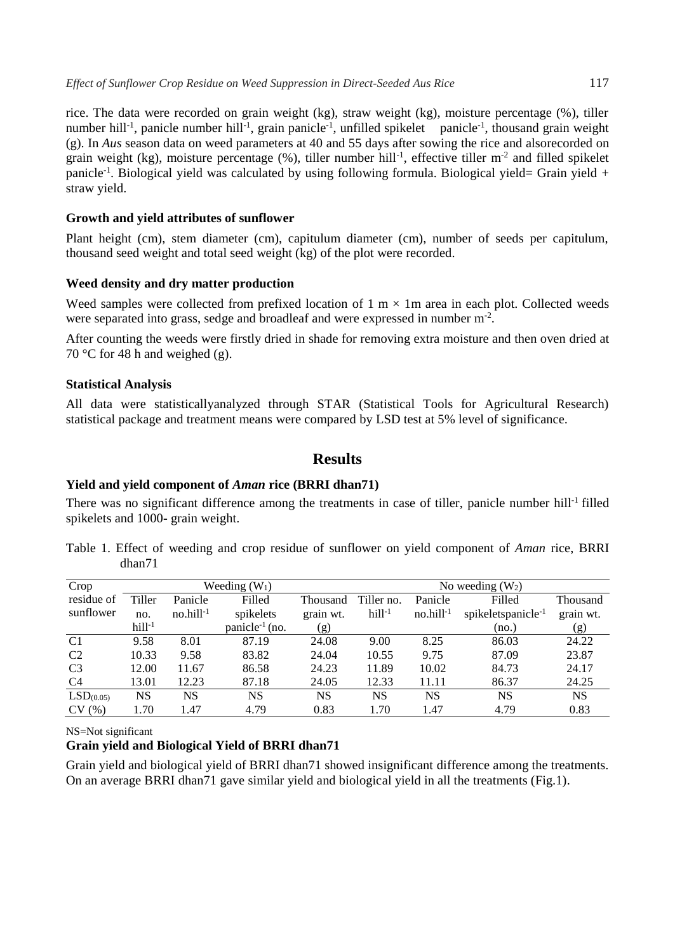rice. The data were recorded on grain weight (kg), straw weight (kg), moisture percentage (%), tiller number hill<sup>-1</sup>, panicle number hill<sup>-1</sup>, grain panicle<sup>-1</sup>, unfilled spikelet panicle<sup>-1</sup>, thousand grain weight (g). In *Aus* season data on weed parameters at 40 and 55 days after sowing the rice and alsorecorded on grain weight (kg), moisture percentage  $(\%)$ , tiller number hill<sup>-1</sup>, effective tiller m<sup>-2</sup> and filled spikelet panicle<sup>-1</sup>. Biological yield was calculated by using following formula. Biological yield= Grain yield + straw yield.

#### **Growth and yield attributes of sunflower**

Plant height (cm), stem diameter (cm), capitulum diameter (cm), number of seeds per capitulum, thousand seed weight and total seed weight (kg) of the plot were recorded.

### **Weed density and dry matter production**

Weed samples were collected from prefixed location of  $1 \text{ m} \times 1 \text{ m}$  area in each plot. Collected weeds were separated into grass, sedge and broadleaf and were expressed in number m<sup>-2</sup>.

After counting the weeds were firstly dried in shade for removing extra moisture and then oven dried at 70 °C for 48 h and weighed (g).

#### **Statistical Analysis**

All data were statisticallyanalyzed through STAR (Statistical Tools for Agricultural Research) statistical package and treatment means were compared by LSD test at 5% level of significance.

# **Results**

#### **Yield and yield component of** *Aman* **rice (BRRI dhan71)**

There was no significant difference among the treatments in case of tiller, panicle number hill<sup>-1</sup> filled spikelets and 1000- grain weight.

Table 1. Effect of weeding and crop residue of sunflower on yield component of *Aman* rice, BRRI dhan71

| Crop                  |          |             | Weeding $(W_1)$            |           | No weeding $(W_2)$ |             |                                |           |  |
|-----------------------|----------|-------------|----------------------------|-----------|--------------------|-------------|--------------------------------|-----------|--|
| residue of            | Tiller   | Panicle     | Filled                     | Thousand  | Tiller no.         | Panicle     | Filled                         | Thousand  |  |
| sunflower             | no.      | $no.hill-1$ | spikelets                  | grain wt. | $hill-1$           | $no.hill-1$ | spikeletspanicle <sup>-1</sup> | grain wt. |  |
|                       | $hill-1$ |             | panicle <sup>-1</sup> (no. | (g)       |                    |             | (no.)                          | (g)       |  |
| C1                    | 9.58     | 8.01        | 87.19                      | 24.08     | 9.00               | 8.25        | 86.03                          | 24.22     |  |
| C <sub>2</sub>        | 10.33    | 9.58        | 83.82                      | 24.04     | 10.55              | 9.75        | 87.09                          | 23.87     |  |
| C <sub>3</sub>        | 12.00    | 11.67       | 86.58                      | 24.23     | 11.89              | 10.02       | 84.73                          | 24.17     |  |
| C4                    | 13.01    | 12.23       | 87.18                      | 24.05     | 12.33              | 11.11       | 86.37                          | 24.25     |  |
| LSD <sub>(0.05)</sub> | NS       | NS          | NS                         | <b>NS</b> | NS                 | NS          | NS                             | <b>NS</b> |  |
| CV(%)                 | 1.70     | 1.47        | 4.79                       | 0.83      | 1.70               | 1.47        | 4.79                           | 0.83      |  |

NS=Not significant

#### **Grain yield and Biological Yield of BRRI dhan71**

Grain yield and biological yield of BRRI dhan71 showed insignificant difference among the treatments. On an average BRRI dhan71 gave similar yield and biological yield in all the treatments (Fig.1).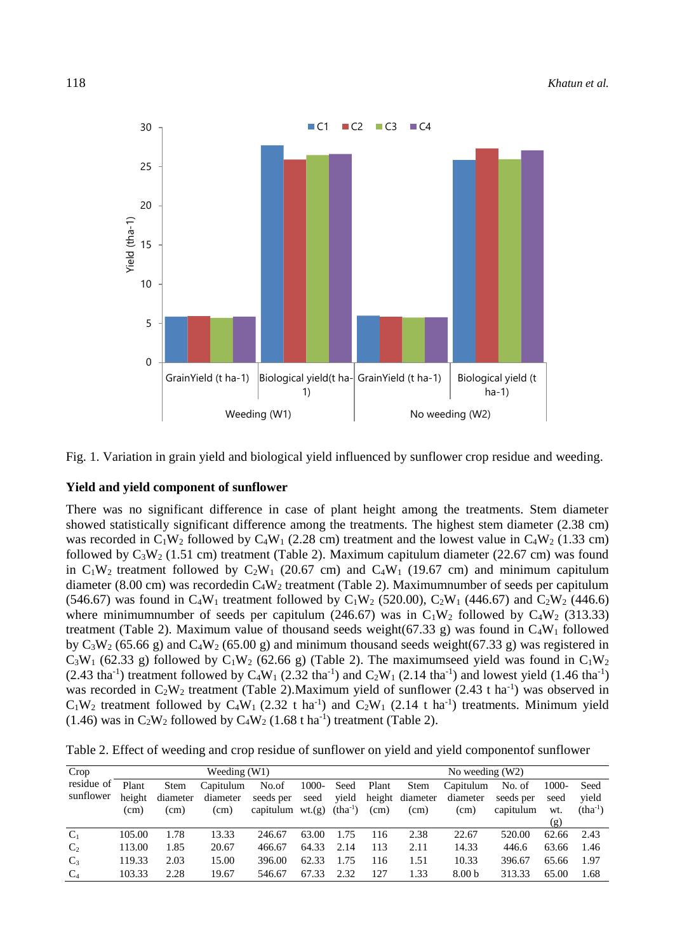

Fig. 1. Variation in grain yield and biological yield influenced by sunflower crop residue and weeding.

#### **Yield and yield component of sunflower**

There was no significant difference in case of plant height among the treatments. Stem diameter showed statistically significant difference among the treatments. The highest stem diameter (2.38 cm) was recorded in  $C_1W_2$  followed by  $C_4W_1$  (2.28 cm) treatment and the lowest value in  $C_4W_2$  (1.33 cm) followed by  $C_3W_2$  (1.51 cm) treatment (Table 2). Maximum capitulum diameter (22.67 cm) was found in  $C_1W_2$  treatment followed by  $C_2W_1$  (20.67 cm) and  $C_4W_1$  (19.67 cm) and minimum capitulum diameter (8.00 cm) was recordedin  $C_4W_2$  treatment (Table 2). Maximumnumber of seeds per capitulum (546.67) was found in C<sub>4</sub>W<sub>1</sub> treatment followed by C<sub>1</sub>W<sub>2</sub> (520.00), C<sub>2</sub>W<sub>1</sub> (446.67) and C<sub>2</sub>W<sub>2</sub> (446.6) where minimumnumber of seeds per capitulum (246.67) was in  $C_1W_2$  followed by  $C_4W_2$  (313.33) treatment (Table 2). Maximum value of thousand seeds weight(67.33 g) was found in  $C_4W_1$  followed by  $C_3W_2$  (65.66 g) and  $C_4W_2$  (65.00 g) and minimum thousand seeds weight(67.33 g) was registered in  $C_3W_1$  (62.33 g) followed by  $C_1W_2$  (62.66 g) (Table 2). The maximumseed yield was found in  $C_1W_2$  $(2.43 \text{ tha}^{-1})$  treatment followed by C<sub>4</sub>W<sub>1</sub> (2.32 tha<sup>-1</sup>) and C<sub>2</sub>W<sub>1</sub> (2.14 tha<sup>-1</sup>) and lowest yield (1.46 tha<sup>-1</sup>) was recorded in  $C_2W_2$  treatment (Table 2). Maximum yield of sunflower (2.43 t ha<sup>-1</sup>) was observed in  $C_1W_2$  treatment followed by  $C_4W_1$  (2.32 t ha<sup>-1</sup>) and  $C_2W_1$  (2.14 t ha<sup>-1</sup>) treatments. Minimum yield (1.46) was in  $C_2W_2$  followed by  $C_4W_2$  (1.68 t ha<sup>-1</sup>) treatment (Table 2).

|  |  |  |  |  | Table 2. Effect of weeding and crop residue of sunflower on yield and yield componentof sunflower |  |
|--|--|--|--|--|---------------------------------------------------------------------------------------------------|--|
|  |  |  |  |  |                                                                                                   |  |

| Crop           | Weeding $(W1)$ |                   |           |                   |       |              |       | No weeding $(W2)$ |                   |           |       |              |  |
|----------------|----------------|-------------------|-----------|-------------------|-------|--------------|-------|-------------------|-------------------|-----------|-------|--------------|--|
| residue of     | Plant          | <b>Stem</b>       | Capitulum | No.of             | 1000- | Seed         | Plant | Stem              | Capitulum         | No. of    | 1000- | Seed         |  |
| sunflower      | height         | diameter          | diameter  | seeds per         | seed  | vield        |       | height diameter   | diameter          | seeds per | seed  | vield        |  |
|                | (cm)           | (c <sub>m</sub> ) | (cm)      | capitulum $wt(g)$ |       | $(tha^{-1})$ | (cm)  | (cm)              | (cm)              | capitulum | wt.   | $(tha^{-1})$ |  |
|                |                |                   |           |                   |       |              |       |                   |                   |           | (g)   |              |  |
| $C_1$          | 105.00         | 1.78              | 13.33     | 246.67            | 63.00 | 1.75         | 116   | 2.38              | 22.67             | 520.00    | 62.66 | 2.43         |  |
| C <sub>2</sub> | 113.00         | 1.85              | 20.67     | 466.67            | 64.33 | 2.14         | 113   | 2.11              | 14.33             | 446.6     | 63.66 | 1.46         |  |
| $C_3$          | 119.33         | 2.03              | 15.00     | 396.00            | 62.33 | 1.75         | 116   | 1.51              | 10.33             | 396.67    | 65.66 | 1.97         |  |
| C <sub>4</sub> | 103.33         | 2.28              | 19.67     | 546.67            | 67.33 | 2.32         | 127   | 1.33              | 8.00 <sub>b</sub> | 313.33    | 65.00 | 1.68         |  |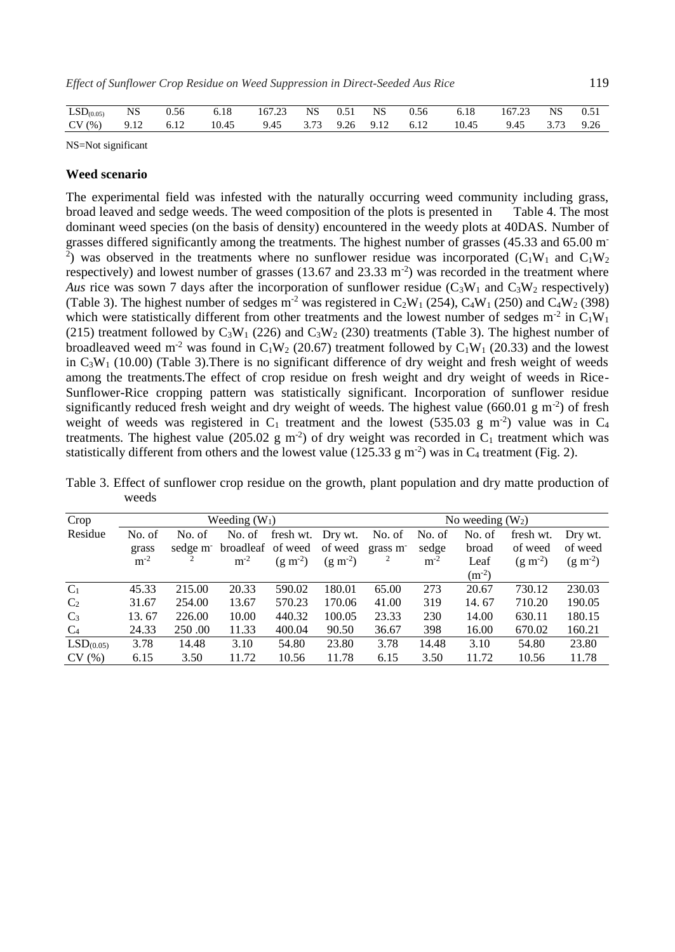| $LSD(0.05)$ NS          | 0.56 | 6.18 | 167.23 NS 0.51 NS |  | $\sim$ 0.56 $\sim$ | 6.18 167.23 NS 0.51                           |  |
|-------------------------|------|------|-------------------|--|--------------------|-----------------------------------------------|--|
| $CV(%)$ 9.12 6.12 10.45 |      |      |                   |  |                    | 9.45 3.73 9.26 9.12 6.12 10.45 9.45 3.73 9.26 |  |

NS=Not significant

#### **Weed scenario**

The experimental field was infested with the naturally occurring weed community including grass, broad leaved and sedge weeds. The weed composition of the plots is presented in Table 4. The most dominant weed species (on the basis of density) encountered in the weedy plots at 40DAS. Number of grasses differed significantly among the treatments. The highest number of grasses (45.33 and 65.00 m-<sup>2</sup>) was observed in the treatments where no sunflower residue was incorporated ( $C_1W_1$  and  $C_1W_2$ ) respectively) and lowest number of grasses  $(13.67 \text{ and } 23.33 \text{ m}^2)$  was recorded in the treatment where *Aus* rice was sown 7 days after the incorporation of sunflower residue ( $C_3W_1$  and  $C_3W_2$  respectively) (Table 3). The highest number of sedges  $m^2$  was registered in C<sub>2</sub>W<sub>1</sub> (254), C<sub>4</sub>W<sub>1</sub> (250) and C<sub>4</sub>W<sub>2</sub> (398) which were statistically different from other treatments and the lowest number of sedges  $m<sup>-2</sup>$  in  $C_1W_1$ (215) treatment followed by  $C_3W_1$  (226) and  $C_3W_2$  (230) treatments (Table 3). The highest number of broadleaved weed m<sup>-2</sup> was found in C<sub>1</sub>W<sub>2</sub> (20.67) treatment followed by C<sub>1</sub>W<sub>1</sub> (20.33) and the lowest in  $C_3W_1$  (10.00) (Table 3). There is no significant difference of dry weight and fresh weight of weeds among the treatments.The effect of crop residue on fresh weight and dry weight of weeds in Rice-Sunflower-Rice cropping pattern was statistically significant. Incorporation of sunflower residue significantly reduced fresh weight and dry weight of weeds. The highest value (660.01  $\rm g$  m<sup>-2</sup>) of fresh weight of weeds was registered in  $C_1$  treatment and the lowest (535.03 g m<sup>-2</sup>) value was in  $C_4$ treatments. The highest value (205.02 g m<sup>-2</sup>) of dry weight was recorded in  $C_1$  treatment which was statistically different from others and the lowest value (125.33  $\text{g m}^2$ ) was in C<sub>4</sub> treatment (Fig. 2).

| Crop                  |        |        | Weeding $(W_1)$           |                   | No weeding $(W_2)$ |        |        |            |           |           |
|-----------------------|--------|--------|---------------------------|-------------------|--------------------|--------|--------|------------|-----------|-----------|
| Residue               | No. of | No. of | No. of                    | fresh wt. Dry wt. |                    | No. of | No. of | No. of     | fresh wt. | Dry wt.   |
|                       | grass  |        | sedge m broadleaf of weed |                   | of weed grass m    |        | sedge  | broad      | of weed   | of weed   |
|                       | $m-2$  | 2      | $m-2$                     | $(g m-2)$         | $(g m^{-2})$       | 2      | $m-2$  | Leaf       | $(g m-2)$ | $(g m-2)$ |
|                       |        |        |                           |                   |                    |        |        | $(m^{-2})$ |           |           |
| $C_1$                 | 45.33  | 215.00 | 20.33                     | 590.02            | 180.01             | 65.00  | 273    | 20.67      | 730.12    | 230.03    |
| C <sub>2</sub>        | 31.67  | 254.00 | 13.67                     | 570.23            | 170.06             | 41.00  | 319    | 14.67      | 710.20    | 190.05    |
| $C_3$                 | 13.67  | 226.00 | 10.00                     | 440.32            | 100.05             | 23.33  | 230    | 14.00      | 630.11    | 180.15    |
| C <sub>4</sub>        | 24.33  | 250.00 | 11.33                     | 400.04            | 90.50              | 36.67  | 398    | 16.00      | 670.02    | 160.21    |
| LSD <sub>(0.05)</sub> | 3.78   | 14.48  | 3.10                      | 54.80             | 23.80              | 3.78   | 14.48  | 3.10       | 54.80     | 23.80     |
| CV(%)                 | 6.15   | 3.50   | 11.72                     | 10.56             | 11.78              | 6.15   | 3.50   | 11.72      | 10.56     | 11.78     |

Table 3. Effect of sunflower crop residue on the growth, plant population and dry matte production of weeds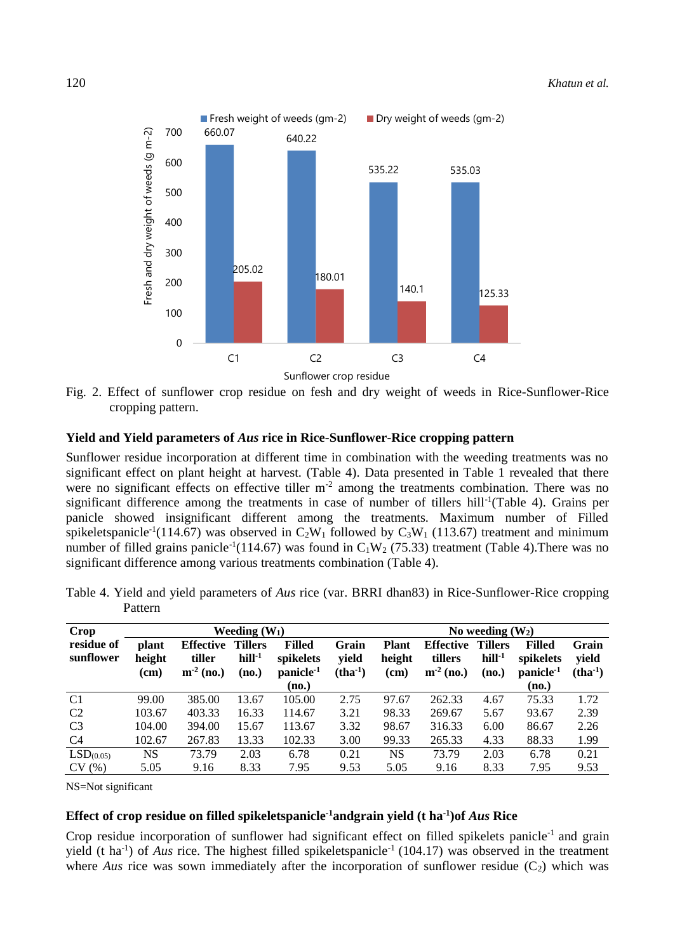

Fig. 2. Effect of sunflower crop residue on fesh and dry weight of weeds in Rice-Sunflower-Rice cropping pattern.

### **Yield and Yield parameters of** *Aus* **rice in Rice-Sunflower-Rice cropping pattern**

Sunflower residue incorporation at different time in combination with the weeding treatments was no significant effect on plant height at harvest. (Table 4). Data presented in Table 1 revealed that there were no significant effects on effective tiller  $m<sup>-2</sup>$  among the treatments combination. There was no significant difference among the treatments in case of number of tillers hill<sup>-1</sup>(Table 4). Grains per panicle showed insignificant different among the treatments. Maximum number of Filled spikeletspanicle<sup>-1</sup>(114.67) was observed in  $C_2W_1$  followed by  $C_3W_1$  (113.67) treatment and minimum number of filled grains panicle<sup>-1</sup>(114.67) was found in  $C_1W_2$  (75.33) treatment (Table 4). There was no significant difference among various treatments combination (Table 4).

| Crop                    |                         |                                           | Weeding $(W_1)$                     |                                                     | No weeding $(W_2)$          |                                |                                            |                                     |                                                     |                             |  |
|-------------------------|-------------------------|-------------------------------------------|-------------------------------------|-----------------------------------------------------|-----------------------------|--------------------------------|--------------------------------------------|-------------------------------------|-----------------------------------------------------|-----------------------------|--|
| residue of<br>sunflower | plant<br>height<br>(cm) | <b>Effective</b><br>tiller<br>$m-2$ (no.) | <b>Tillers</b><br>$hill-1$<br>(no.) | <b>Filled</b><br>spikelets<br>panicle <sup>-1</sup> | Grain<br>vield<br>$(tha-1)$ | <b>Plant</b><br>height<br>(cm) | <b>Effective</b><br>tillers<br>$m-2$ (no.) | <b>Tillers</b><br>$hill-1$<br>(no.) | <b>Filled</b><br>spikelets<br>panicle <sup>-1</sup> | Grain<br>vield<br>$(tha-1)$ |  |
|                         |                         |                                           |                                     | (no.)                                               |                             |                                |                                            |                                     | (no.)                                               |                             |  |
| C <sub>1</sub>          | 99.00                   | 385.00                                    | 13.67                               | 105.00                                              | 2.75                        | 97.67                          | 262.33                                     | 4.67                                | 75.33                                               | 1.72                        |  |
| C <sub>2</sub>          | 103.67                  | 403.33                                    | 16.33                               | 114.67                                              | 3.21                        | 98.33                          | 269.67                                     | 5.67                                | 93.67                                               | 2.39                        |  |
| C <sub>3</sub>          | 104.00                  | 394.00                                    | 15.67                               | 113.67                                              | 3.32                        | 98.67                          | 316.33                                     | 6.00                                | 86.67                                               | 2.26                        |  |
| C4                      | 102.67                  | 267.83                                    | 13.33                               | 102.33                                              | 3.00                        | 99.33                          | 265.33                                     | 4.33                                | 88.33                                               | 1.99                        |  |
| LSD <sub>(0.05)</sub>   | NS.                     | 73.79                                     | 2.03                                | 6.78                                                | 0.21                        | NS                             | 73.79                                      | 2.03                                | 6.78                                                | 0.21                        |  |
| CV(%)                   | 5.05                    | 9.16                                      | 8.33                                | 7.95                                                | 9.53                        | 5.05                           | 9.16                                       | 8.33                                | 7.95                                                | 9.53                        |  |

Table 4. Yield and yield parameters of *Aus* rice (var. BRRI dhan83) in Rice-Sunflower-Rice cropping Pattern

NS=Not significant

# **Effect of crop residue on filled spikeletspanicle-1andgrain yield (t ha-1 )of** *Aus* **Rice**

Crop residue incorporation of sunflower had significant effect on filled spikelets panicle<sup>-1</sup> and grain yield (t ha<sup>-1</sup>) of *Aus* rice. The highest filled spikeletspanicle<sup>-1</sup> (104.17) was observed in the treatment where *Aus* rice was sown immediately after the incorporation of sunflower residue  $(C_2)$  which was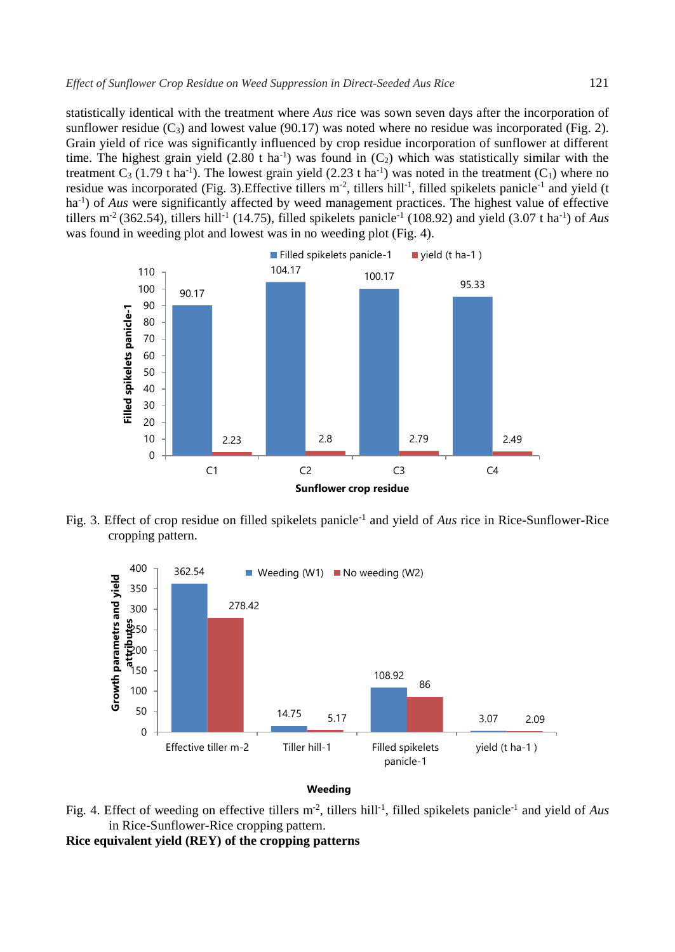statistically identical with the treatment where *Aus* rice was sown seven days after the incorporation of sunflower residue  $(C_3)$  and lowest value (90.17) was noted where no residue was incorporated (Fig. 2). Grain yield of rice was significantly influenced by crop residue incorporation of sunflower at different time. The highest grain yield  $(2.80 \text{ t ha}^{-1})$  was found in  $(C_2)$  which was statistically similar with the treatment  $C_3$  (1.79 t ha<sup>-1</sup>). The lowest grain yield (2.23 t ha<sup>-1</sup>) was noted in the treatment (C<sub>1</sub>) where no residue was incorporated (Fig. 3). Effective tillers  $m^2$ , tillers hill<sup>-1</sup>, filled spikelets panicle<sup>-1</sup> and yield (t ha-1 ) of *Aus* were significantly affected by weed management practices. The highest value of effective tillers m<sup>-2</sup> (362.54), tillers hill<sup>-1</sup> (14.75), filled spikelets panicle<sup>-1</sup> (108.92) and yield (3.07 t ha<sup>-1</sup>) of *Aus* was found in weeding plot and lowest was in no weeding plot (Fig. 4).



Fig. 3. Effect of crop residue on filled spikelets panicle-1 and yield of *Aus* rice in Rice-Sunflower-Rice cropping pattern.



#### **Weeding**

Fig. 4. Effect of weeding on effective tillers m<sup>-2</sup>, tillers hill<sup>-1</sup>, filled spikelets panicle<sup>-1</sup> and yield of Aus in Rice-Sunflower-Rice cropping pattern.

**Rice equivalent yield (REY) of the cropping patterns**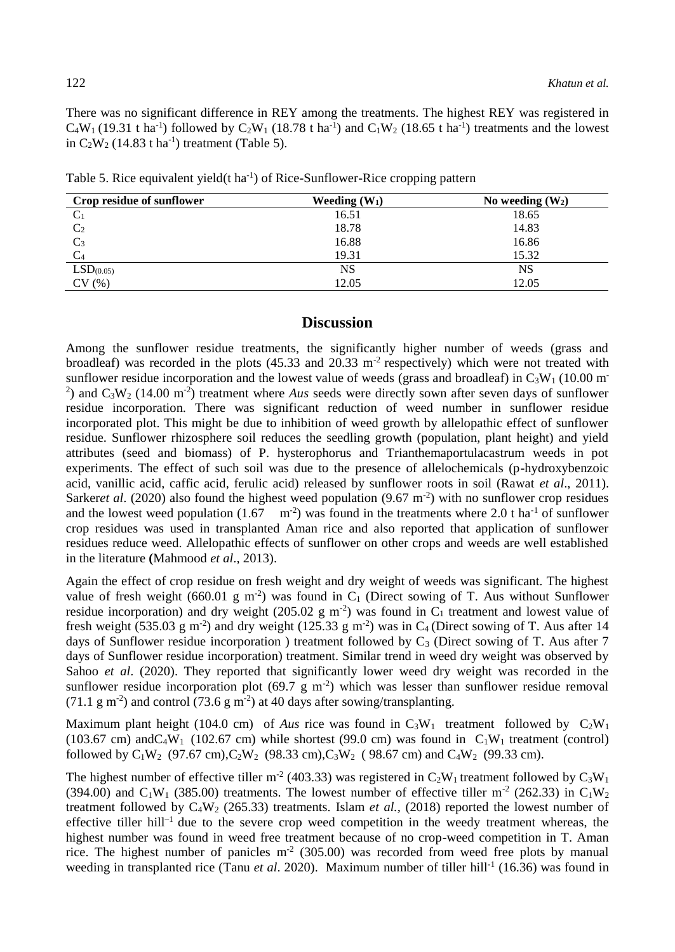There was no significant difference in REY among the treatments. The highest REY was registered in  $C_4W_1$  (19.31 t ha<sup>-1</sup>) followed by  $C_2W_1$  (18.78 t ha<sup>-1</sup>) and  $C_1W_2$  (18.65 t ha<sup>-1</sup>) treatments and the lowest in  $C_2W_2$  (14.83 t ha<sup>-1</sup>) treatment (Table 5).

Table 5. Rice equivalent yield(t ha<sup>-1</sup>) of Rice-Sunflower-Rice cropping pattern

| Crop residue of sunflower | Weeding $(W_1)$ | No weeding $(W_2)$ |
|---------------------------|-----------------|--------------------|
| $C_1$                     | 16.51           | 18.65              |
| C <sub>2</sub>            | 18.78           | 14.83              |
| $C_3$                     | 16.88           | 16.86              |
|                           | 19.31           | 15.32              |
| LSD <sub>(0.05)</sub>     | NS              | NS                 |
| CV(%)                     | 12.05           | 12.05              |

# **Discussion**

Among the sunflower residue treatments, the significantly higher number of weeds (grass and broadleaf) was recorded in the plots  $(45.33 \text{ and } 20.33 \text{ m}^2 \text{ respectively})$  which were not treated with sunflower residue incorporation and the lowest value of weeds (grass and broadleaf) in  $C_3W_1$  (10.00 m<sup>-</sup> <sup>2</sup>) and  $C_3W_2$  (14.00 m<sup>-2</sup>) treatment where *Aus* seeds were directly sown after seven days of sunflower residue incorporation. There was significant reduction of weed number in sunflower residue incorporated plot. This might be due to inhibition of weed growth by allelopathic effect of sunflower residue. Sunflower rhizosphere soil reduces the seedling growth (population, plant height) and yield attributes (seed and biomass) of P. hysterophorus and Trianthemaportulacastrum weeds in pot experiments. The effect of such soil was due to the presence of allelochemicals (p-hydroxybenzoic acid, vanillic acid, caffic acid, ferulic acid) released by sunflower roots in soil (Rawat *et al*., 2011). Sarker*et al.* (2020) also found the highest weed population  $(9.67 \text{ m}^2)$  with no sunflower crop residues and the lowest weed population  $(1.67 \text{ m}^2)$  was found in the treatments where 2.0 t ha<sup>-1</sup> of sunflower crop residues was used in transplanted Aman rice and also reported that application of sunflower residues reduce weed. Allelopathic effects of sunflower on other crops and weeds are well established in the literature **(**Mahmood *et al*., 2013).

Again the effect of crop residue on fresh weight and dry weight of weeds was significant. The highest value of fresh weight (660.01 g m<sup>-2</sup>) was found in  $C_1$  (Direct sowing of T. Aus without Sunflower residue incorporation) and dry weight (205.02 g m<sup>-2</sup>) was found in  $C_1$  treatment and lowest value of fresh weight (535.03 g m<sup>-2</sup>) and dry weight (125.33 g m<sup>-2</sup>) was in C<sub>4</sub> (Direct sowing of T. Aus after 14 days of Sunflower residue incorporation ) treatment followed by  $C_3$  (Direct sowing of T. Aus after 7 days of Sunflower residue incorporation) treatment. Similar trend in weed dry weight was observed by Sahoo *et al.* (2020). They reported that significantly lower weed dry weight was recorded in the sunflower residue incorporation plot  $(69.7 \text{ g m}^2)$  which was lesser than sunflower residue removal (71.1 g m<sup>-2</sup>) and control (73.6 g m<sup>-2</sup>) at 40 days after sowing/transplanting.

Maximum plant height (104.0 cm) of *Aus* rice was found in  $C_3W_1$  treatment followed by  $C_2W_1$ (103.67 cm) and C<sub>4</sub>W<sub>1</sub> (102.67 cm) while shortest (99.0 cm) was found in  $C_1W_1$  treatment (control) followed by  $C_1W_2$  (97.67 cm), $C_2W_2$  (98.33 cm), $C_3W_2$  (98.67 cm) and  $C_4W_2$  (99.33 cm).

The highest number of effective tiller m<sup>-2</sup> (403.33) was registered in  $C_2W_1$  treatment followed by  $C_3W_1$ (394.00) and C<sub>1</sub>W<sub>1</sub> (385.00) treatments. The lowest number of effective tiller m<sup>-2</sup> (262.33) in C<sub>1</sub>W<sub>2</sub> treatment followed by  $C_4W_2$  (265.33) treatments. Islam *et al.*, (2018) reported the lowest number of effective tiller hill<sup>-1</sup> due to the severe crop weed competition in the weedy treatment whereas, the highest number was found in weed free treatment because of no crop-weed competition in T. Aman rice. The highest number of panicles  $m<sup>2</sup>$  (305.00) was recorded from weed free plots by manual weeding in transplanted rice (Tanu et al. 2020). Maximum number of tiller hill<sup>-1</sup> (16.36) was found in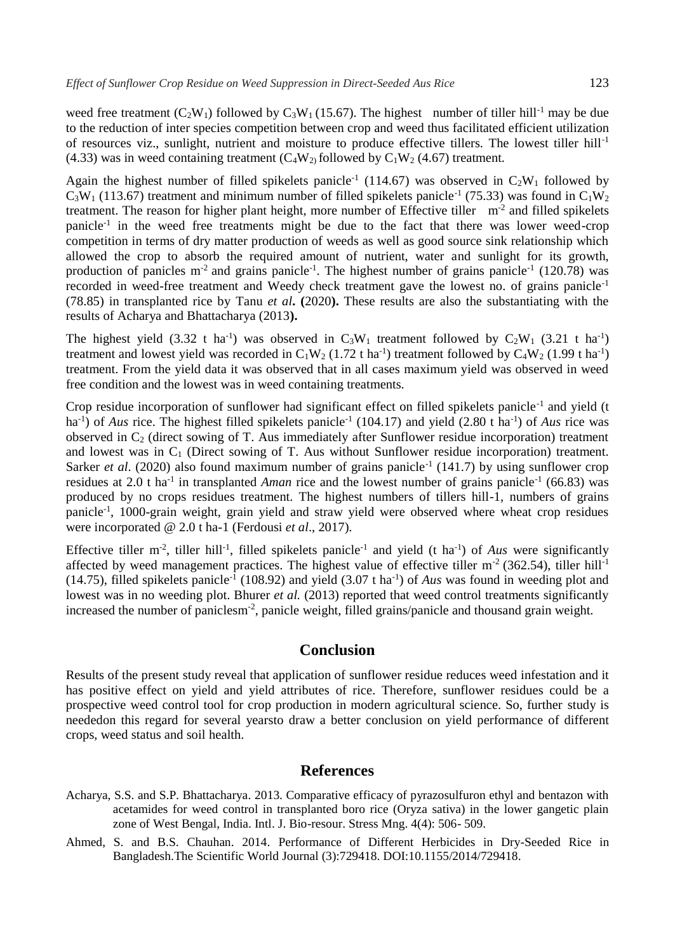weed free treatment  $(C_2W_1)$  followed by  $C_3W_1$  (15.67). The highest number of tiller hill<sup>-1</sup> may be due to the reduction of inter species competition between crop and weed thus facilitated efficient utilization of resources viz., sunlight, nutrient and moisture to produce effective tillers. The lowest tiller hill<sup>-1</sup> (4.33) was in weed containing treatment ( $C_4W_2$ ) followed by  $C_1W_2$  (4.67) treatment.

Again the highest number of filled spikelets panicle<sup>-1</sup> (114.67) was observed in  $C_2W_1$  followed by  $C_3W_1$  (113.67) treatment and minimum number of filled spikelets panicle<sup>-1</sup> (75.33) was found in  $C_1W_2$ treatment. The reason for higher plant height, more number of Effective tiller  $m<sup>2</sup>$  and filled spikelets panicle-1 in the weed free treatments might be due to the fact that there was lower weed-crop competition in terms of dry matter production of weeds as well as good source sink relationship which allowed the crop to absorb the required amount of nutrient, water and sunlight for its growth, production of panicles  $m<sup>2</sup>$  and grains panicle<sup>-1</sup>. The highest number of grains panicle<sup>-1</sup> (120.78) was recorded in weed-free treatment and Weedy check treatment gave the lowest no. of grains panicle-1 (78.85) in transplanted rice by Tanu *et al***. (**2020**).** These results are also the substantiating with the results of Acharya and Bhattacharya (2013**).**

The highest yield (3.32 t ha<sup>-1</sup>) was observed in  $C_3W_1$  treatment followed by  $C_2W_1$  (3.21 t ha<sup>-1</sup>) treatment and lowest yield was recorded in  $C_1W_2$  (1.72 t ha<sup>-1</sup>) treatment followed by  $C_4W_2$  (1.99 t ha<sup>-1</sup>) treatment. From the yield data it was observed that in all cases maximum yield was observed in weed free condition and the lowest was in weed containing treatments.

Crop residue incorporation of sunflower had significant effect on filled spikelets panicle<sup>-1</sup> and yield (t ha<sup>-1</sup>) of *Aus* rice. The highest filled spikelets panicle<sup>-1</sup> (104.17) and yield (2.80 t ha<sup>-1</sup>) of *Aus* rice was observed in  $C_2$  (direct sowing of T. Aus immediately after Sunflower residue incorporation) treatment and lowest was in  $C_1$  (Direct sowing of T. Aus without Sunflower residue incorporation) treatment. Sarker *et al.* (2020) also found maximum number of grains panicle<sup>-1</sup> (141.7) by using sunflower crop residues at 2.0 t ha<sup>-1</sup> in transplanted *Aman* rice and the lowest number of grains panicle<sup>-1</sup> (66.83) was produced by no crops residues treatment. The highest numbers of tillers hill-1, numbers of grains panicle<sup>-1</sup>, 1000-grain weight, grain yield and straw yield were observed where wheat crop residues were incorporated @ 2.0 t ha-1 (Ferdousi *et al*., 2017).

Effective tiller m<sup>-2</sup>, tiller hill<sup>-1</sup>, filled spikelets panicle<sup>-1</sup> and yield (t ha<sup>-1</sup>) of *Aus* were significantly affected by weed management practices. The highest value of effective tiller  $m<sup>2</sup>$  (362.54), tiller hill<sup>-1</sup>  $(14.75)$ , filled spikelets panicle<sup>-1</sup> (108.92) and yield  $(3.07 \text{ t} \text{ ha}^{-1})$  of *Aus* was found in weeding plot and lowest was in no weeding plot. Bhurer *et al.* (2013) reported that weed control treatments significantly increased the number of paniclesm<sup>-2</sup>, panicle weight, filled grains/panicle and thousand grain weight.

# **Conclusion**

Results of the present study reveal that application of sunflower residue reduces weed infestation and it has positive effect on yield and yield attributes of rice. Therefore, sunflower residues could be a prospective weed control tool for crop production in modern agricultural science. So, further study is neededon this regard for several yearsto draw a better conclusion on yield performance of different crops, weed status and soil health.

# **References**

- Acharya, S.S. and S.P. Bhattacharya. 2013. Comparative efficacy of pyrazosulfuron ethyl and bentazon with acetamides for weed control in transplanted boro rice (Oryza sativa) in the lower gangetic plain zone of West Bengal, India. Intl. J. Bio-resour. Stress Mng. 4(4): 506- 509.
- Ahmed, S. and B.S. Chauhan. 2014. Performance of Different Herbicides in Dry-Seeded Rice in Bangladesh.The [Scientific](https://www.researchgate.net/journal/The-Scientific-World-Journal-1537-744X) World Journal (3):729418. DOI[:10.1155/2014/729418.](http://dx.doi.org/10.1155/2014/729418)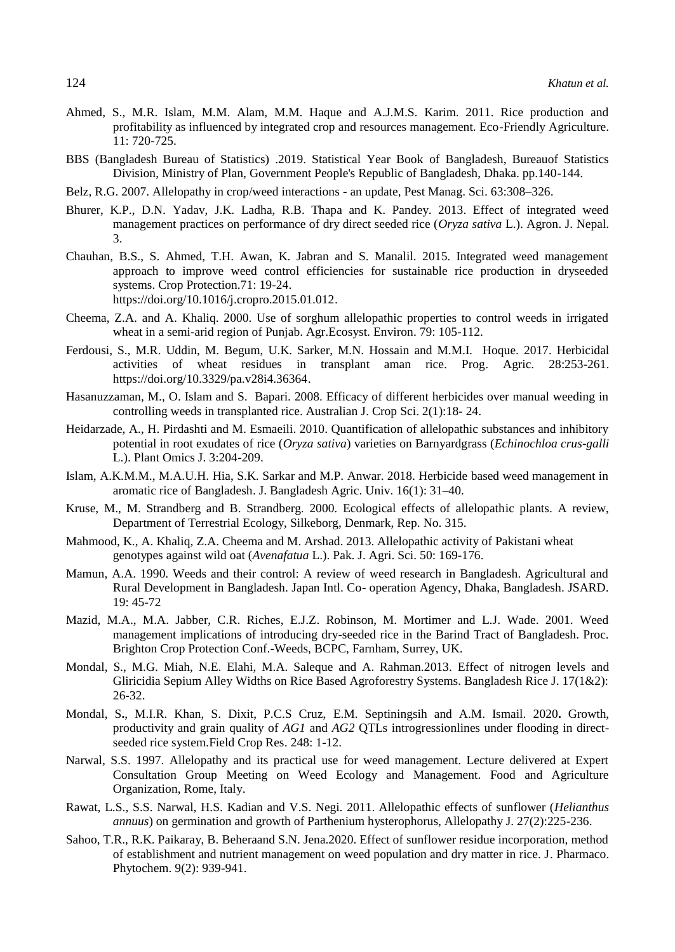- Ahmed, S., M.R. Islam, M.M. Alam, M.M. Haque and A.J.M.S. Karim. 2011. Rice production and profitability as influenced by integrated crop and resources management. Eco-Friendly Agriculture. 11: 720-725.
- BBS (Bangladesh Bureau of Statistics) .2019. Statistical Year Book of Bangladesh, Bureauof Statistics Division, Ministry of Plan, Government People's Republic of Bangladesh, Dhaka. pp.140-144.
- Belz, R.G. 2007. Allelopathy in crop/weed interactions an update, Pest Manag. Sci. 63:308–326.
- Bhurer, K.P., D.N. Yadav, J.K. Ladha, R.B. Thapa and K. Pandey. 2013. Effect of integrated weed management practices on performance of dry direct seeded rice (*Oryza sativa* L.). Agron. J. Nepal. 3.
- Chauhan, B.S., S. Ahmed, T.H. Awan, K. Jabran and S. Manalil. 2015. Integrated weed management approach to improve weed control efficiencies for sustainable rice production in dryseeded systems. Crop Protection.71: 19-24. [https://doi.org/10.1016/j.cropro.2015.01.012.](https://doi.org/10.1016/j.cropro.2015.01.012)
- Cheema, Z.A. and A. Khaliq. 2000. Use of sorghum allelopathic properties to control weeds in irrigated wheat in a semi-arid region of Punjab. Agr.Ecosyst. Environ. 79: 105-112.
- Ferdousi, S., M.R. Uddin, M. Begum, U.K. Sarker, M.N. Hossain and M.M.I. Hoque. 2017. Herbicidal activities of wheat residues in transplant aman rice. Prog. Agric. 28:253-261. [https://doi.org/10.3329/pa.v28i4.36364.](https://doi.org/10.3329/pa.v28i4.36364)
- Hasanuzzaman, M., O. Islam and S. Bapari. 2008. Efficacy of different herbicides over manual weeding in controlling weeds in transplanted rice. Australian J. Crop Sci. 2(1):18- 24.
- Heidarzade, A., H. Pirdashti and M. Esmaeili. 2010. Quantification of allelopathic substances and inhibitory potential in root exudates of rice (*Oryza sativa*) varieties on Barnyardgrass (*Echinochloa crus-galli* L.). Plant Omics J. 3:204-209.
- Islam, A.K.M.M., M.A.U.H. Hia, S.K. Sarkar and M.P. Anwar. 2018. Herbicide based weed management in aromatic rice of Bangladesh. J. Bangladesh Agric. Univ. 16(1): 31–40.
- Kruse, M., M. Strandberg and B. Strandberg. 2000. Ecological effects of allelopathic plants. A review, Department of Terrestrial Ecology, Silkeborg, Denmark, Rep. No. 315.
- Mahmood, K., A. Khaliq, Z.A. Cheema and M. Arshad. 2013. Allelopathic activity of Pakistani wheat genotypes against wild oat (*Avenafatua* L.). Pak. J. Agri. Sci. 50: 169-176.
- Mamun, A.A. 1990. Weeds and their control: A review of weed research in Bangladesh. Agricultural and Rural Development in Bangladesh. Japan Intl. Co- operation Agency, Dhaka, Bangladesh. JSARD. 19: 45-72
- Mazid, M.A., M.A. Jabber, C.R. Riches, E.J.Z. Robinson, M. Mortimer and L.J. Wade. 2001. Weed management implications of introducing dry-seeded rice in the Barind Tract of Bangladesh. Proc. Brighton Crop Protection Conf.-Weeds, BCPC, Farnham, Surrey, UK.
- Mondal, S., M.G. Miah, N.E. Elahi, M.A. Saleque and A. Rahman.2013. Effect of nitrogen levels and Gliricidia Sepium Alley Widths on Rice Based Agroforestry Systems. Bangladesh Rice J. 17(1&2): 26-32.
- Mondal, S**.**, M.I.R. Khan, S. Dixit, P.C.S Cruz, E.M. Septiningsih and A.M. Ismail. 2020**.** Growth, productivity and grain quality of *AG1* and *AG2* QTLs introgressionlines under flooding in directseeded rice system.Field Crop Res. 248: 1-12.
- Narwal, S.S. 1997. Allelopathy and its practical use for weed management. Lecture delivered at Expert Consultation Group Meeting on Weed Ecology and Management. Food and Agriculture Organization, Rome, Italy.
- Rawat, L.S., S.S. Narwal, H.S. Kadian and V.S. Negi. 2011. Allelopathic effects of sunflower (*Helianthus annuus*) on germination and growth of Parthenium hysterophorus, Allelopathy J. 27(2):225-236.
- Sahoo, T.R., R.K. Paikaray, B. Beheraand S.N. Jena.2020. Effect of sunflower residue incorporation, method of establishment and nutrient management on weed population and dry matter in rice. J. Pharmaco. Phytochem. 9(2): 939-941.